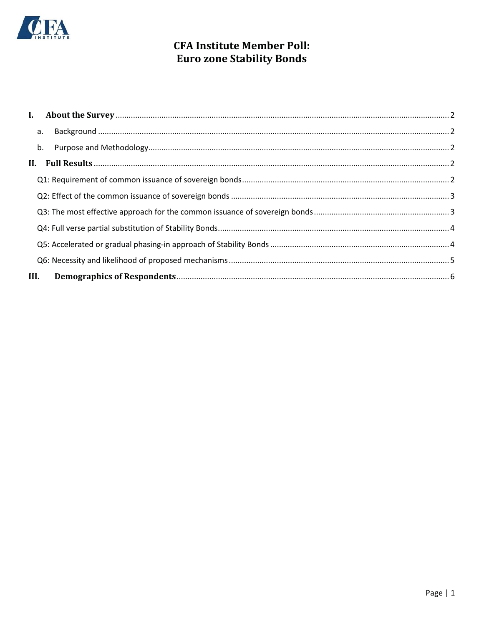

# **CFA Institute Member Poll: Euro zone Stability Bonds**

|      | b. |  |
|------|----|--|
|      |    |  |
|      |    |  |
|      |    |  |
|      |    |  |
|      |    |  |
|      |    |  |
|      |    |  |
| III. |    |  |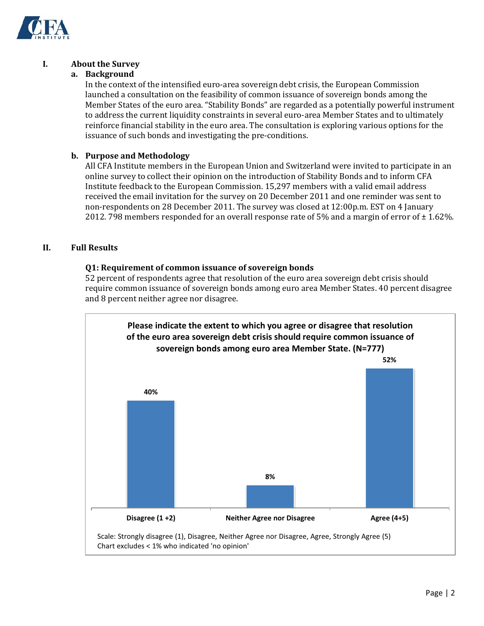

## **I. About the Survey**

#### **a. Background**

In the context of the intensified euro-area sovereign debt crisis, the European Commission launched a consultation on the feasibility of common issuance of sovereign bonds among the Member States of the euro area. "Stability Bonds" are regarded as a potentially powerful instrument to address the current liquidity constraints in several euro-area Member States and to ultimately reinforce financial stability in the euro area. The consultation is exploring various options for the issuance of such bonds and investigating the pre-conditions.

### **b. Purpose and Methodology**

All CFA Institute members in the European Union and Switzerland were invited to participate in an online survey to collect their opinion on the introduction of Stability Bonds and to inform CFA Institute feedback to the European Commission. 15,297 members with a valid email address received the email invitation for the survey on 20 December 2011 and one reminder was sent to non-respondents on 28 December 2011. The survey was closed at 12:00p.m. EST on 4 January 2012. 798 members responded for an overall response rate of 5% and a margin of error of  $\pm$  1.62%.

## **II. Full Results**

#### **Q1: Requirement of common issuance of sovereign bonds**

52 percent of respondents agree that resolution of the euro area sovereign debt crisis should require common issuance of sovereign bonds among euro area Member States. 40 percent disagree and 8 percent neither agree nor disagree.

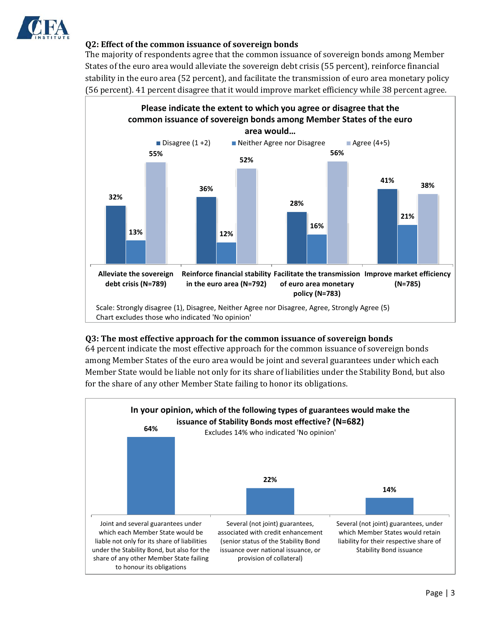

### **Q2: Effect of the common issuance of sovereign bonds**

The majority of respondents agree that the common issuance of sovereign bonds among Member States of the euro area would alleviate the sovereign debt crisis (55 percent), reinforce financial stability in the euro area (52 percent), and facilitate the transmission of euro area monetary policy (56 percent). 41 percent disagree that it would improve market efficiency while 38 percent agree.



#### **Q3: The most effective approach for the common issuance of sovereign bonds**

64 percent indicate the most effective approach for the common issuance of sovereign bonds among Member States of the euro area would be joint and several guarantees under which each Member State would be liable not only for its share of liabilities under the Stability Bond, but also for the share of any other Member State failing to honor its obligations.

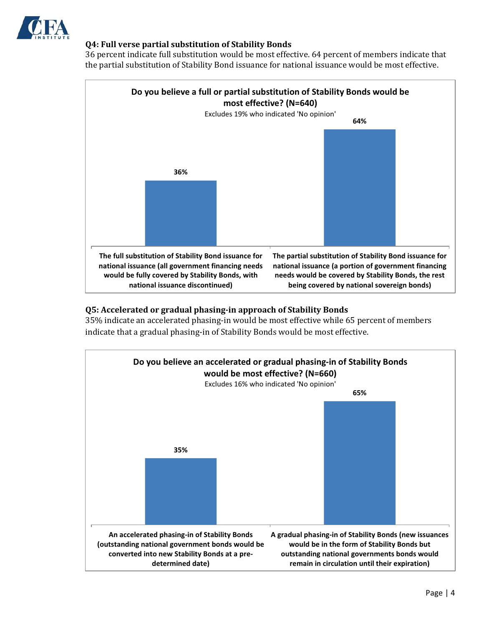

### **Q4: Full verse partial substitution of Stability Bonds**

36 percent indicate full substitution would be most effective. 64 percent of members indicate that the partial substitution of Stability Bond issuance for national issuance would be most effective.



#### **Q5: Accelerated or gradual phasing-in approach of Stability Bonds**

35% indicate an accelerated phasing-in would be most effective while 65 percent of members indicate that a gradual phasing-in of Stability Bonds would be most effective.

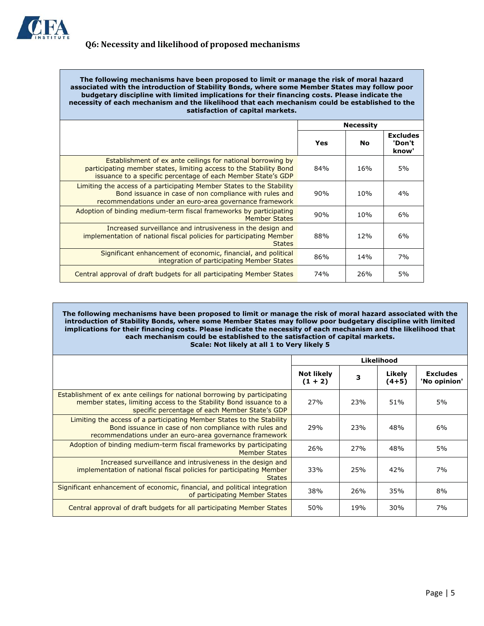

**The following mechanisms have been proposed to limit or manage the risk of moral hazard associated with the introduction of Stability Bonds, where some Member States may follow poor budgetary discipline with limited implications for their financing costs. Please indicate the necessity of each mechanism and the likelihood that each mechanism could be established to the satisfaction of capital markets.**

|                                                                                                                                                                                                   | <b>Necessity</b> |     |                                    |
|---------------------------------------------------------------------------------------------------------------------------------------------------------------------------------------------------|------------------|-----|------------------------------------|
|                                                                                                                                                                                                   | Yes              | Nο  | <b>Excludes</b><br>'Don't<br>know' |
| Establishment of ex ante ceilings for national borrowing by<br>participating member states, limiting access to the Stability Bond<br>issuance to a specific percentage of each Member State's GDP | 84%              | 16% | 5%                                 |
| Limiting the access of a participating Member States to the Stability<br>Bond issuance in case of non compliance with rules and<br>recommendations under an euro-area governance framework        | 90%              | 10% | 4%                                 |
| Adoption of binding medium-term fiscal frameworks by participating<br><b>Member States</b>                                                                                                        | 90%              | 10% | 6%                                 |
| Increased surveillance and intrusiveness in the design and<br>implementation of national fiscal policies for participating Member<br><b>States</b>                                                | 88%              | 12% | 6%                                 |
| Significant enhancement of economic, financial, and political<br>integration of participating Member States                                                                                       | 86%              | 14% | 7%                                 |
| Central approval of draft budgets for all participating Member States                                                                                                                             | 74%              | 26% | 5%                                 |

**The following mechanisms have been proposed to limit or manage the risk of moral hazard associated with the introduction of Stability Bonds, where some Member States may follow poor budgetary discipline with limited implications for their financing costs. Please indicate the necessity of each mechanism and the likelihood that each mechanism could be established to the satisfaction of capital markets. Scale: Not likely at all 1 to Very likely 5**

|                                                                                                                                                                                                   | Likelihood                     |     |                   |                                 |
|---------------------------------------------------------------------------------------------------------------------------------------------------------------------------------------------------|--------------------------------|-----|-------------------|---------------------------------|
|                                                                                                                                                                                                   | <b>Not likely</b><br>$(1 + 2)$ | 3   | Likely<br>$(4+5)$ | <b>Excludes</b><br>'No opinion' |
| Establishment of ex ante ceilings for national borrowing by participating<br>member states, limiting access to the Stability Bond issuance to a<br>specific percentage of each Member State's GDP | 27%                            | 23% | 51%               | 5%                              |
| Limiting the access of a participating Member States to the Stability<br>Bond issuance in case of non compliance with rules and<br>recommendations under an euro-area governance framework        | 29%                            | 23% | 48%               | 6%                              |
| Adoption of binding medium-term fiscal frameworks by participating<br>Member States                                                                                                               | 26%                            | 27% | 48%               | 5%                              |
| Increased surveillance and intrusiveness in the design and<br>implementation of national fiscal policies for participating Member<br><b>States</b>                                                | 33%                            | 25% | 42%               | 7%                              |
| Significant enhancement of economic, financial, and political integration<br>of participating Member States                                                                                       | 38%                            | 26% | 35%               | 8%                              |
| Central approval of draft budgets for all participating Member States                                                                                                                             | 50%                            | 19% | 30%               | 7%                              |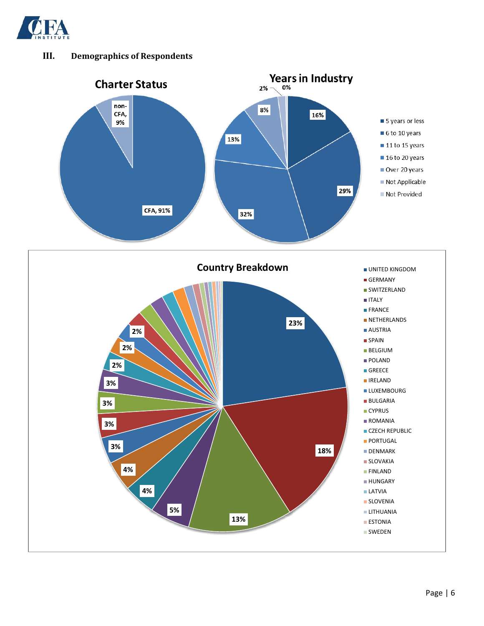

# **III. Demographics of Respondents**

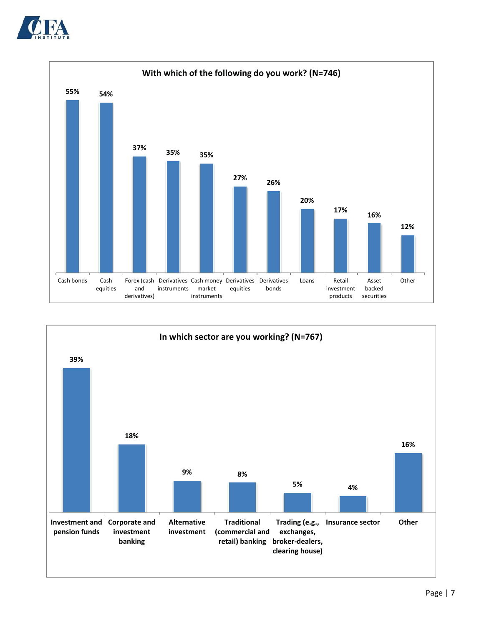